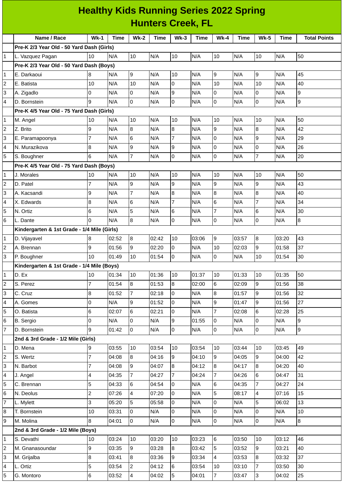| <b>Healthy Kids Running Series 2022 Spring</b> |                                             |                |       |                |             |                 |             |                |             |                           |             |                     |
|------------------------------------------------|---------------------------------------------|----------------|-------|----------------|-------------|-----------------|-------------|----------------|-------------|---------------------------|-------------|---------------------|
| <b>Hunters Creek, FL</b>                       |                                             |                |       |                |             |                 |             |                |             |                           |             |                     |
|                                                | Name / Race                                 | $Wk-1$         | Time  | <b>Wk-2</b>    | <b>Time</b> | $Wk-3$          | <b>Time</b> | $Wk-4$         | <b>Time</b> | $Wk-5$                    | <b>Time</b> | <b>Total Points</b> |
|                                                | Pre-K 2/3 Year Old - 50 Yard Dash (Girls)   |                |       |                |             |                 |             |                |             |                           |             |                     |
| $\mathbf{1}$                                   | L. Vazquez Pagan                            | 10             | N/A   | 10             | N/A         | 10              | N/A         | 10             | N/A         | 10                        | N/A         | 50                  |
|                                                | Pre-K 2/3 Year Old - 50 Yard Dash (Boys)    |                |       |                |             |                 |             |                |             |                           |             |                     |
| $\mathbf{1}$                                   | E. Darkaoui                                 | 8              | N/A   | g              | N/A         | 10              | N/A         | 9              | N/A         | $\boldsymbol{9}$          | N/A         | 45                  |
| $\overline{c}$                                 | E. Batista                                  | 10             | N/A   | 10             | N/A         | $\overline{0}$  | N/A         | 10             | N/A         | 10                        | N/A         | 40                  |
| 3                                              | A. Zigadlo                                  | 0              | N/A   | l0             | N/A         | 9               | N/A         | 0              | N/A         | l0                        | N/A         | 9                   |
| 4                                              | D. Bornstein                                | 9              | N/A   | l0             | N/A         | $\overline{0}$  | N/A         | 0              | N/A         | 0                         | N/A         | $\overline{9}$      |
|                                                | Pre-K 4/5 Year Old - 75 Yard Dash (Girls)   |                |       |                |             |                 |             |                |             |                           |             |                     |
| $\mathbf{1}$                                   | M. Angel                                    | 10             | N/A   | 10             | N/A         | 10              | N/A         | 10             | N/A         | 10                        | N/A         | 50                  |
| $\overline{c}$                                 | Z. Brito                                    | 9              | N/A   | 8              | N/A         | $\bf{8}$        | N/A         | 9              | N/A         | $\bf{8}$                  | N/A         | 42                  |
| 3                                              | E. Paramapoonya                             | 7              | N/A   | 6              | N/A         | $\overline{7}$  | N/A         | 0              | N/A         | $\boldsymbol{9}$          | N/A         | 29                  |
| 4                                              | N. Murazikova                               | 8              | N/A   | 9              | N/A         | 9               | N/A         | 0              | N/A         | $\mathsf 0$               | N/A         | 26                  |
| 5                                              | S. Boughner                                 | 6              | N/A   | $\overline{7}$ | N/A         | 0               | N/A         | 0              | N/A         | $\overline{7}$            | N/A         | 20                  |
|                                                | Pre-K 4/5 Year Old - 75 Yard Dash (Boys)    |                |       |                |             |                 |             |                |             |                           |             |                     |
| 1                                              | J. Morales                                  | 10             | N/A   | 10             | N/A         | 10              | N/A         | 10             | N/A         | 10                        | N/A         | 50                  |
| $\overline{c}$                                 | D. Patel                                    | 7              | N/A   | 9              | N/A         | 9               | N/A         | 9              | N/A         | 9                         | N/A         | 43                  |
| 3                                              | A. Kacsandi                                 | 9              | N/A   | $\overline{7}$ | N/A         | 8               | N/A         | 8              | N/A         | $\bf{8}$                  | N/A         | 40                  |
| 4                                              | X. Edwards                                  | 8              | N/A   | 6              | N/A         | $\overline{7}$  | N/A         | 6              | N/A         | $\overline{7}$            | N/A         | 34                  |
| 5                                              | N. Ortiz                                    | 6              | N/A   | 5              | N/A         | 6               | N/A         | $\overline{7}$ | N/A         | $\,6$                     | N/A         | 30                  |
| 6                                              | L. Dante                                    | 0              | N/A   | 8              | N/A         | $\overline{0}$  | N/A         | 0              | N/A         | 0                         | N/A         | $\bf{8}$            |
|                                                | Kindergarten & 1st Grade - 1/4 Mile (Girls) |                |       |                |             |                 |             |                |             |                           |             |                     |
| $\mathbf{1}$                                   | D. Vijayavel                                | 8              | 02:52 | 8              | 02:42       | 10              | 03:06       | 9              | 03:57       | 8                         | 03:20       | 43                  |
| $\overline{c}$                                 | A. Brennan                                  | 9              | 01:56 | 9              | 02:20       | l0              | N/A         | 10             | 02:03       | 9                         | 01:58       | 37                  |
| 3                                              | P. Boughner                                 | 10             | 01:49 | 10             | 01:54       | 0               | N/A         | 0              | N/A         | 10                        | 01:54       | 30                  |
|                                                | Kindergarten & 1st Grade - 1/4 Mile (Boys)  |                |       |                |             |                 |             |                |             |                           |             |                     |
| 1                                              | D. Ex                                       | 10             | 01:34 | 10             | 01:36       | 10              | 01:37       | 10             | 01:33       | 10                        | 01:35       | 50                  |
| $\overline{c}$                                 | S. Perez                                    | 7              | 01:54 | 8              | 01:53       | 8               | 02:00       | 6              | 02:09       | 9                         | 01:56       | 38                  |
| 3                                              | C. Cruz                                     | 8              | 01:52 | $\overline{7}$ | 02:18       | 0               | N/A         | 8              | 01:57       | 9                         | 01:56       | 32                  |
| 4                                              | A. Gomes                                    | 0              | N/A   | 9              | 01:52       | O               | N/A         | 9              | 01:47       | 9                         | 01:56       | 27                  |
| 5                                              | O. Batista                                  | 6              | 02:07 | 6              | 02:21       | 0               | N/A         | $\overline{7}$ | 02:08       | 6                         | 02:28       | 25                  |
| 6                                              | B. Sergio                                   | 0              | N/A   | 0              | N/A         | $\overline{9}$  | 01:55       | 0              | N/A         | 0                         | N/A         | 9                   |
| $\overline{7}$                                 | D. Bornstein                                | 9              | 01:42 | 0              | N/A         | $\overline{0}$  | N/A         | 0              | N/A         | $\overline{0}$            | N/A         | 9                   |
|                                                | 2nd & 3rd Grade - 1/2 Mile (Girls)          |                |       |                |             |                 |             |                |             |                           |             |                     |
| $\mathbf{1}$                                   | D. Mena                                     | 9              | 03:55 | 10             | 03:54       | 10              | 03:54       | 10             | 03:44       | 10                        | 03:45       | 49                  |
| 2                                              | S. Wertz                                    | 7              | 04:08 | 8              | 04:16       | 9               | 04:10       | 9              | 04:05       | 9                         | 04:00       | 42                  |
| 3                                              | N. Barbot                                   | $\overline{7}$ | 04:08 | g              | 04:07       | $\bf{8}$        | 04:12       | 8              | 04:17       | 8                         | 04:20       | 40                  |
| 4                                              | J. Angel                                    | 4              | 04:35 | $\overline{7}$ | 04:27       | $\overline{7}$  | 04:24       | $\overline{7}$ | 04:26       | 6                         | 04:47       | 31                  |
| 5                                              | C. Brennan                                  | 5              | 04:33 | 6              | 04:54       | 0               | N/A         | 6              | 04:35       | $\overline{7}$            | 04:27       | 24                  |
| 6                                              | N. Deolus                                   | $\overline{c}$ | 07:26 | $\overline{4}$ | 07:20       | l0              | N/A         | 5              | 08:17       | $\overline{\mathcal{A}}$  | 07:16       | 15                  |
| $\overline{7}$                                 | L. Mylett                                   | 3              | 05:20 | 5              | 05:58       | O               | N/A         | 0              | N/A         | 5                         | 06:02       | 13                  |
| 8                                              | T. Bornstein                                | 10             | 03:31 | l0             | N/A         | 0               | N/A         | 0              | N/A         | $\overline{0}$            | N/A         | 10                  |
| 9                                              | M. Molina                                   | 8              | 04:01 | l0             | N/A         | $\overline{0}$  | N/A         | 0              | N/A         | $\overline{0}$            | N/A         | 8                   |
|                                                | 2nd & 3rd Grade - 1/2 Mile (Boys)           |                |       |                |             |                 |             |                |             |                           |             |                     |
| 1                                              | S. Devathi                                  | 10             | 03:24 | 10             | 03:20       | 10              | 03:23       | 6              | 03:50       | 10                        | 03:12       | 46                  |
| $\overline{c}$                                 | M. Gnanasoundar                             | 9              | 03:35 | 9              | 03:28       | 8               | 03:42       | 5              | 03:52       | 9                         | 03:21       | 40                  |
| 3                                              | M. Grijalba                                 | 8              | 03:41 | 8              | 03:36       | 9               | 03:34       | 4              | 03:53       | 8                         | 03:32       | 37                  |
| 4                                              | L. Ortiz                                    | 5              | 03:54 | $\overline{2}$ | 04:12       | $6\phantom{.}6$ | 03:54       | 10             | 03:10       | $\overline{7}$            | 03:50       | 30                  |
| 5                                              | G. Montoro                                  | 6              | 03:52 | $\overline{4}$ | 04:02       | 5               | 04:01       | $\overline{7}$ | 03:47       | $\ensuremath{\mathsf{3}}$ | 04:02       | 25                  |